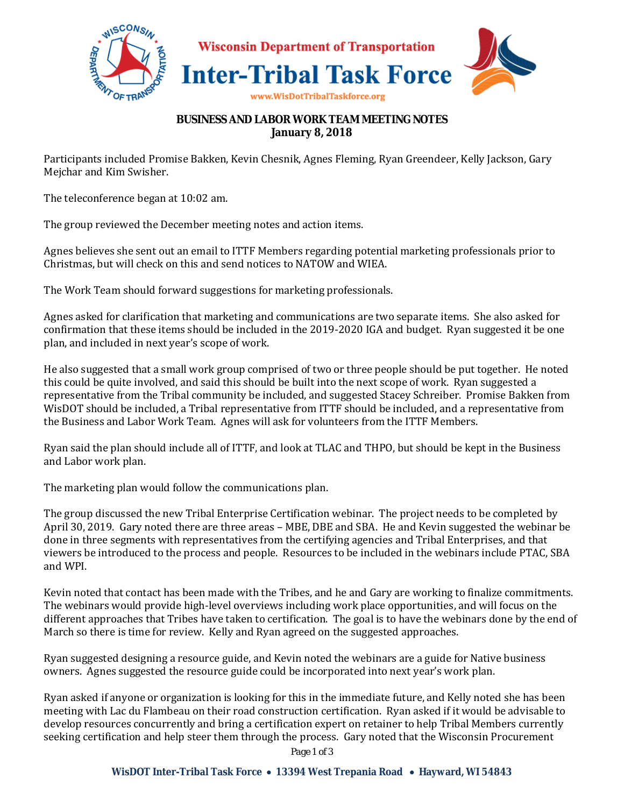

## **BUSINESS AND LABOR WORK TEAM MEETING NOTES January 8, 2018**

Participants included Promise Bakken, Kevin Chesnik, Agnes Fleming, Ryan Greendeer, Kelly Jackson, Gary Mejchar and Kim Swisher.

The teleconference began at 10:02 am.

The group reviewed the December meeting notes and action items.

Agnes believes she sent out an email to ITTF Members regarding potential marketing professionals prior to Christmas, but will check on this and send notices to NATOW and WIEA.

The Work Team should forward suggestions for marketing professionals.

Agnes asked for clarification that marketing and communications are two separate items. She also asked for confirmation that these items should be included in the 2019-2020 IGA and budget. Ryan suggested it be one plan, and included in next year's scope of work.

He also suggested that a small work group comprised of two or three people should be put together. He noted this could be quite involved, and said this should be built into the next scope of work. Ryan suggested a representative from the Tribal community be included, and suggested Stacey Schreiber. Promise Bakken from WisDOT should be included, a Tribal representative from ITTF should be included, and a representative from the Business and Labor Work Team. Agnes will ask for volunteers from the ITTF Members.

Ryan said the plan should include all of ITTF, and look at TLAC and THPO, but should be kept in the Business and Labor work plan.

The marketing plan would follow the communications plan.

The group discussed the new Tribal Enterprise Certification webinar. The project needs to be completed by April 30, 2019. Gary noted there are three areas – MBE, DBE and SBA. He and Kevin suggested the webinar be done in three segments with representatives from the certifying agencies and Tribal Enterprises, and that viewers be introduced to the process and people. Resources to be included in the webinars include PTAC, SBA and WPI.

Kevin noted that contact has been made with the Tribes, and he and Gary are working to finalize commitments. The webinars would provide high-level overviews including work place opportunities, and will focus on the different approaches that Tribes have taken to certification. The goal is to have the webinars done by the end of March so there is time for review. Kelly and Ryan agreed on the suggested approaches.

Ryan suggested designing a resource guide, and Kevin noted the webinars are a guide for Native business owners. Agnes suggested the resource guide could be incorporated into next year's work plan.

Ryan asked if anyone or organization is looking for this in the immediate future, and Kelly noted she has been meeting with Lac du Flambeau on their road construction certification. Ryan asked if it would be advisable to develop resources concurrently and bring a certification expert on retainer to help Tribal Members currently seeking certification and help steer them through the process. Gary noted that the Wisconsin Procurement

*Page 1 of 3*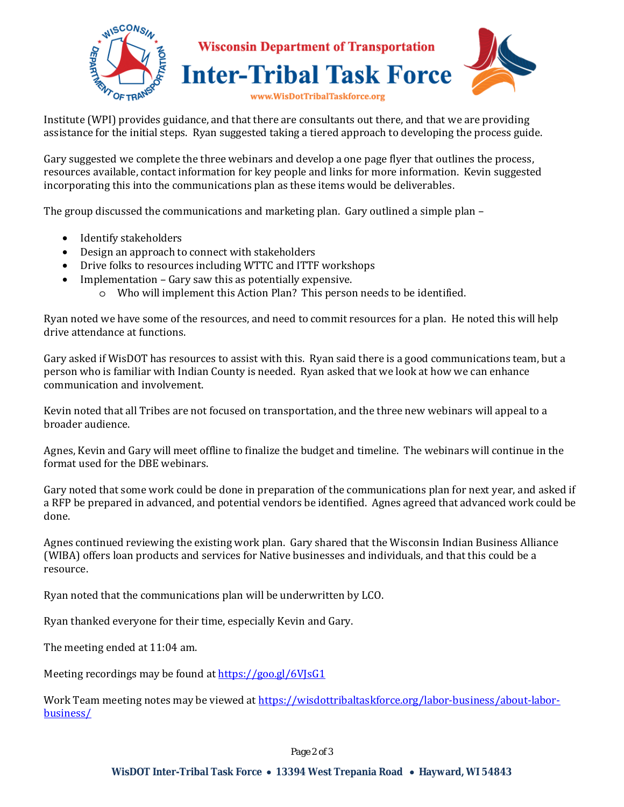

Institute (WPI) provides guidance, and that there are consultants out there, and that we are providing assistance for the initial steps. Ryan suggested taking a tiered approach to developing the process guide.

Gary suggested we complete the three webinars and develop a one page flyer that outlines the process, resources available, contact information for key people and links for more information. Kevin suggested incorporating this into the communications plan as these items would be deliverables.

The group discussed the communications and marketing plan. Gary outlined a simple plan –

- Identify stakeholders
- Design an approach to connect with stakeholders
- Drive folks to resources including WTTC and ITTF workshops
- Implementation Gary saw this as potentially expensive.
	- o Who will implement this Action Plan? This person needs to be identified.

Ryan noted we have some of the resources, and need to commit resources for a plan. He noted this will help drive attendance at functions.

Gary asked if WisDOT has resources to assist with this. Ryan said there is a good communications team, but a person who is familiar with Indian County is needed. Ryan asked that we look at how we can enhance communication and involvement.

Kevin noted that all Tribes are not focused on transportation, and the three new webinars will appeal to a broader audience.

Agnes, Kevin and Gary will meet offline to finalize the budget and timeline. The webinars will continue in the format used for the DBE webinars.

Gary noted that some work could be done in preparation of the communications plan for next year, and asked if a RFP be prepared in advanced, and potential vendors be identified. Agnes agreed that advanced work could be done.

Agnes continued reviewing the existing work plan. Gary shared that the Wisconsin Indian Business Alliance (WIBA) offers loan products and services for Native businesses and individuals, and that this could be a resource.

Ryan noted that the communications plan will be underwritten by LCO.

Ryan thanked everyone for their time, especially Kevin and Gary.

The meeting ended at 11:04 am.

Meeting recordings may be found at https://goo.gl/6VJsG1

Work Team meeting notes may be viewed at https://wisdottribaltaskforce.org/labor-business/about-laborbusiness/

*Page 2 of 3*